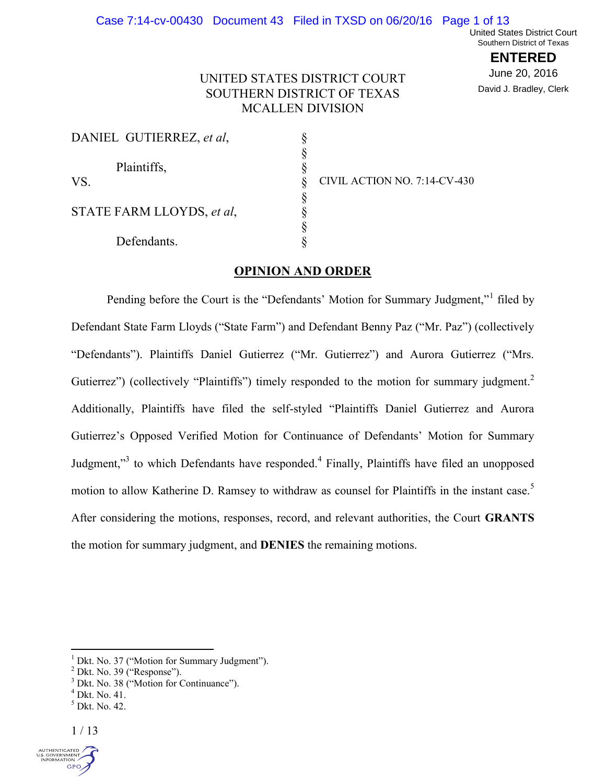## Case 7:14-cv-00430 Document 43 Filed in TXSD on 06/20/16 Page 1 of 13

United States District Court Southern District of Texas

> **ENTERED** June 20, 2016 David J. Bradley, Clerk

# UNITED STATES DISTRICT COURT SOUTHERN DISTRICT OF TEXAS MCALLEN DIVISION

| DANIEL GUTIERREZ, et al.  |  |
|---------------------------|--|
| Plaintiffs,               |  |
| VS.                       |  |
| STATE FARM LLOYDS, et al. |  |
| Defendants.               |  |

CIVIL ACTION NO. 7:14-CV-430

## **OPINION AND ORDER**

Pending before the Court is the "Defendants' Motion for Summary Judgment,"<sup>1</sup> filed by Defendant State Farm Lloyds ("State Farm") and Defendant Benny Paz ("Mr. Paz") (collectively "Defendants"). Plaintiffs Daniel Gutierrez ("Mr. Gutierrez") and Aurora Gutierrez ("Mrs. Gutierrez") (collectively "Plaintiffs") timely responded to the motion for summary judgment.<sup>2</sup> Additionally, Plaintiffs have filed the self-styled "Plaintiffs Daniel Gutierrez and Aurora Gutierrez's Opposed Verified Motion for Continuance of Defendants' Motion for Summary Judgment,"<sup>3</sup> to which Defendants have responded.<sup>4</sup> Finally, Plaintiffs have filed an unopposed motion to allow Katherine D. Ramsey to withdraw as counsel for Plaintiffs in the instant case.<sup>5</sup> After considering the motions, responses, record, and relevant authorities, the Court **GRANTS** the motion for summary judgment, and **DENIES** the remaining motions.



 $1$  Dkt. No. 37 ("Motion for Summary Judgment").

 $2$  Dkt. No. 39 ("Response").

 $3$  Dkt. No. 38 ("Motion for Continuance").

 $<sup>4</sup>$  Dkt. No. 41.</sup>

 $<sup>5</sup>$  Dkt. No. 42.</sup>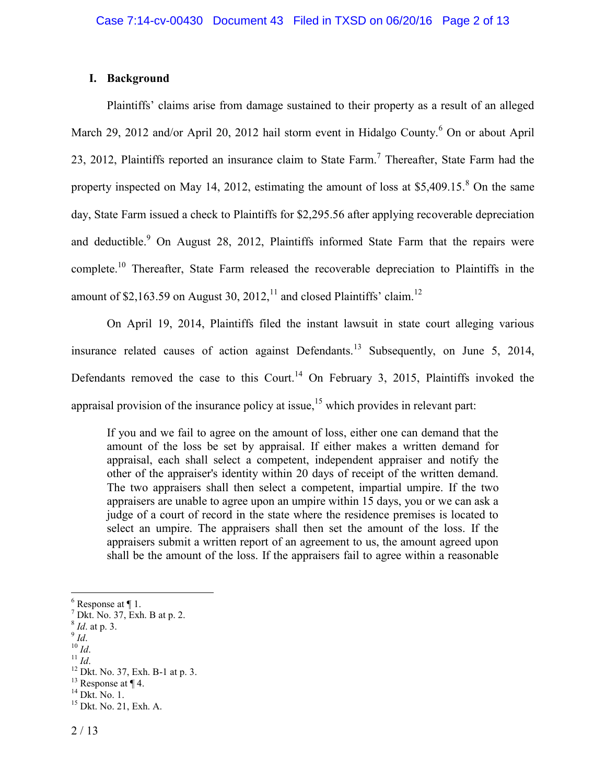# **I. Background**

Plaintiffs' claims arise from damage sustained to their property as a result of an alleged March 29, 2012 and/or April 20, 2012 hail storm event in Hidalgo County.<sup>6</sup> On or about April 23, 2012, Plaintiffs reported an insurance claim to State Farm.<sup>7</sup> Thereafter, State Farm had the property inspected on May 14, 2012, estimating the amount of loss at  $$5,409.15$ .<sup>8</sup> On the same day, State Farm issued a check to Plaintiffs for \$2,295.56 after applying recoverable depreciation and deductible.<sup>9</sup> On August 28, 2012, Plaintiffs informed State Farm that the repairs were complete.<sup>10</sup> Thereafter, State Farm released the recoverable depreciation to Plaintiffs in the amount of \$2,163.59 on August 30, 2012,<sup>11</sup> and closed Plaintiffs' claim.<sup>12</sup>

On April 19, 2014, Plaintiffs filed the instant lawsuit in state court alleging various insurance related causes of action against Defendants.<sup>13</sup> Subsequently, on June 5, 2014, Defendants removed the case to this Court.<sup>14</sup> On February 3, 2015, Plaintiffs invoked the appraisal provision of the insurance policy at issue,<sup>15</sup> which provides in relevant part:

If you and we fail to agree on the amount of loss, either one can demand that the amount of the loss be set by appraisal. If either makes a written demand for appraisal, each shall select a competent, independent appraiser and notify the other of the appraiser's identity within 20 days of receipt of the written demand. The two appraisers shall then select a competent, impartial umpire. If the two appraisers are unable to agree upon an umpire within 15 days, you or we can ask a judge of a court of record in the state where the residence premises is located to select an umpire. The appraisers shall then set the amount of the loss. If the appraisers submit a written report of an agreement to us, the amount agreed upon shall be the amount of the loss. If the appraisers fail to agree within a reasonable

- <sup>10</sup> *Id*.
- $11$  *Id.*

 $6$  Response at  $\P$  1.

 $^7$  Dkt. No. 37, Exh. B at p. 2.

<sup>8</sup> *Id*. at p. 3.

<sup>9</sup> *Id*.

<sup>12</sup> Dkt. No. 37, Exh. B-1 at p. 3.

 $13$  Response at  $\P$  4.

 $14$  Dkt. No. 1.

 $15$  Dkt. No. 21, Exh. A.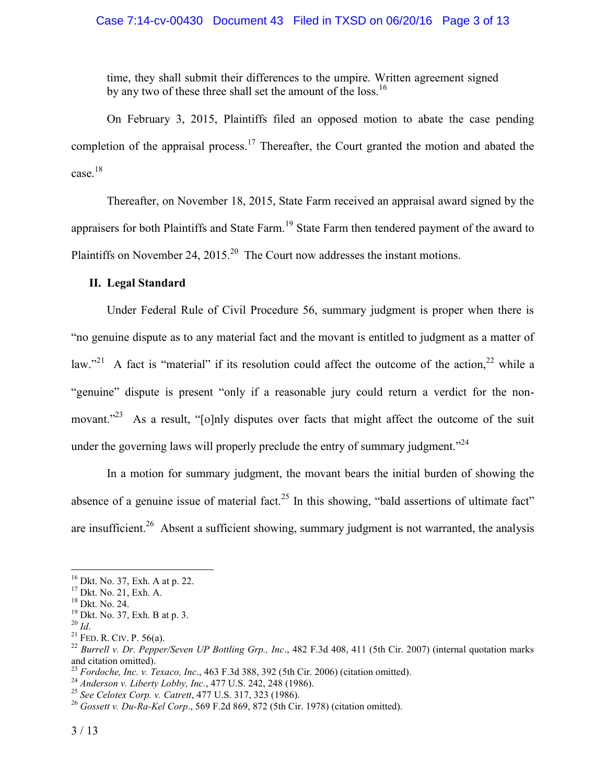# Case 7:14-cv-00430 Document 43 Filed in TXSD on 06/20/16 Page 3 of 13

time, they shall submit their differences to the umpire. Written agreement signed by any two of these three shall set the amount of the loss.<sup>16</sup>

On February 3, 2015, Plaintiffs filed an opposed motion to abate the case pending completion of the appraisal process.<sup>17</sup> Thereafter, the Court granted the motion and abated the case.<sup>18</sup>

Thereafter, on November 18, 2015, State Farm received an appraisal award signed by the appraisers for both Plaintiffs and State Farm.<sup>19</sup> State Farm then tendered payment of the award to Plaintiffs on November 24, 2015.<sup>20</sup> The Court now addresses the instant motions.

# **II. Legal Standard**

Under Federal Rule of Civil Procedure 56, summary judgment is proper when there is "no genuine dispute as to any material fact and the movant is entitled to judgment as a matter of law."<sup>21</sup> A fact is "material" if its resolution could affect the outcome of the action,<sup>22</sup> while a "genuine" dispute is present "only if a reasonable jury could return a verdict for the nonmovant."<sup>23</sup> As a result, "[o]nly disputes over facts that might affect the outcome of the suit under the governing laws will properly preclude the entry of summary judgment.<sup> $24$ </sup>

In a motion for summary judgment, the movant bears the initial burden of showing the absence of a genuine issue of material fact.<sup>25</sup> In this showing, "bald assertions of ultimate fact" are insufficient.<sup>26</sup> Absent a sufficient showing, summary judgment is not warranted, the analysis

<sup>16</sup> Dkt. No. 37, Exh. A at p. 22.

<sup>17</sup> Dkt. No. 21, Exh. A.

<sup>18</sup> Dkt. No. 24.

<sup>19</sup> Dkt. No. 37, Exh. B at p. 3.

<sup>20</sup> *Id*.

 $21$  FED. R. CIV. P. 56(a).

<sup>22</sup> *Burrell v. Dr. Pepper/Seven UP Bottling Grp., Inc*., 482 F.3d 408, 411 (5th Cir. 2007) (internal quotation marks and citation omitted).

<sup>23</sup> *Fordoche, Inc. v. Texaco, Inc*., 463 F.3d 388, 392 (5th Cir. 2006) (citation omitted).

<sup>24</sup> *Anderson v. Liberty Lobby, Inc.*, 477 U.S. 242, 248 (1986).

<sup>25</sup> *See Celotex Corp. v. Catrett*, 477 U.S. 317, 323 (1986).

<sup>26</sup> *Gossett v. Du-Ra-Kel Corp*., 569 F.2d 869, 872 (5th Cir. 1978) (citation omitted).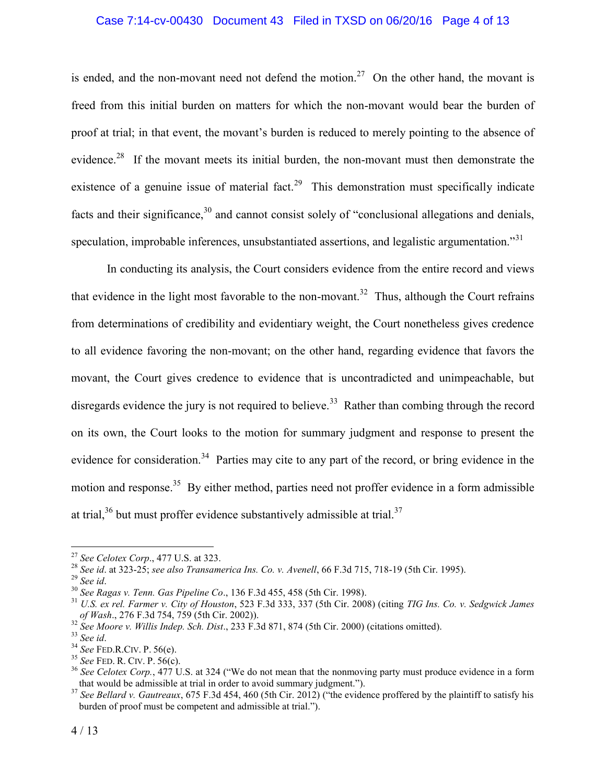## Case 7:14-cv-00430 Document 43 Filed in TXSD on 06/20/16 Page 4 of 13

is ended, and the non-movant need not defend the motion.<sup>27</sup> On the other hand, the movant is freed from this initial burden on matters for which the non-movant would bear the burden of proof at trial; in that event, the movant's burden is reduced to merely pointing to the absence of evidence.<sup>28</sup> If the movant meets its initial burden, the non-movant must then demonstrate the existence of a genuine issue of material fact.<sup>29</sup> This demonstration must specifically indicate facts and their significance,  $30$  and cannot consist solely of "conclusional allegations and denials, speculation, improbable inferences, unsubstantiated assertions, and legalistic argumentation."<sup>31</sup>

In conducting its analysis, the Court considers evidence from the entire record and views that evidence in the light most favorable to the non-movant.<sup>32</sup> Thus, although the Court refrains from determinations of credibility and evidentiary weight, the Court nonetheless gives credence to all evidence favoring the non-movant; on the other hand, regarding evidence that favors the movant, the Court gives credence to evidence that is uncontradicted and unimpeachable, but disregards evidence the jury is not required to believe.<sup>33</sup> Rather than combing through the record on its own, the Court looks to the motion for summary judgment and response to present the evidence for consideration.<sup>34</sup> Parties may cite to any part of the record, or bring evidence in the motion and response.<sup>35</sup> By either method, parties need not proffer evidence in a form admissible at trial, $36$  but must proffer evidence substantively admissible at trial. $37$ 

<sup>27</sup> *See Celotex Corp*., 477 U.S. at 323.

<sup>28</sup> *See id*. at 323-25; *see also Transamerica Ins. Co. v. Avenell*, 66 F.3d 715, 718-19 (5th Cir. 1995).

<sup>29</sup> *See id*.

<sup>30</sup> *See Ragas v. Tenn. Gas Pipeline Co*., 136 F.3d 455, 458 (5th Cir. 1998).

<sup>31</sup> *U.S. ex rel. Farmer v. City of Houston*, 523 F.3d 333, 337 (5th Cir. 2008) (citing *TIG Ins. Co. v. Sedgwick James of Wash*., 276 F.3d 754, 759 (5th Cir. 2002)).

<sup>32</sup> *See Moore v. Willis Indep. Sch. Dist*., 233 F.3d 871, 874 (5th Cir. 2000) (citations omitted).

<sup>33</sup> *See id*.

<sup>34</sup> *See* FED.R.CIV. P. 56(e).

<sup>35</sup> *See* FED. R. CIV. P. 56(c).

<sup>&</sup>lt;sup>36</sup> See Celotex Corp., 477 U.S. at 324 ("We do not mean that the nonmoving party must produce evidence in a form that would be admissible at trial in order to avoid summary judgment.").

<sup>&</sup>lt;sup>37</sup> See Bellard v. Gautreaux, 675 F.3d 454, 460 (5th Cir. 2012) ("the evidence proffered by the plaintiff to satisfy his burden of proof must be competent and admissible at trial.").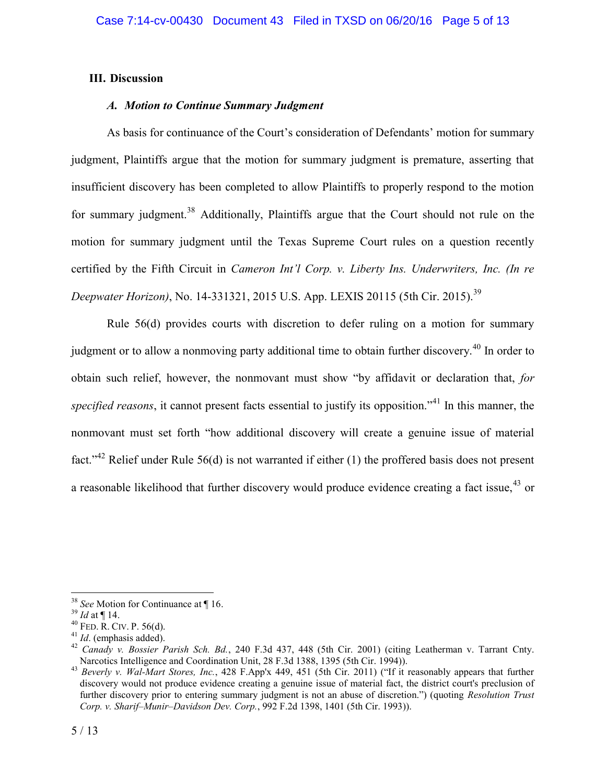# **III. Discussion**

# *A. Motion to Continue Summary Judgment*

As basis for continuance of the Court's consideration of Defendants' motion for summary judgment, Plaintiffs argue that the motion for summary judgment is premature, asserting that insufficient discovery has been completed to allow Plaintiffs to properly respond to the motion for summary judgment.<sup>38</sup> Additionally, Plaintiffs argue that the Court should not rule on the motion for summary judgment until the Texas Supreme Court rules on a question recently certified by the Fifth Circuit in *Cameron Int'l Corp. v. Liberty Ins. Underwriters, Inc. (In re Deepwater Horizon*), No. 14-331321, 2015 U.S. App. LEXIS 20115 (5th Cir. 2015).<sup>39</sup>

Rule 56(d) provides courts with discretion to defer ruling on a motion for summary judgment or to allow a nonmoving party additional time to obtain further discovery.<sup>40</sup> In order to obtain such relief, however, the nonmovant must show "by affidavit or declaration that, *for specified reasons*, it cannot present facts essential to justify its opposition."<sup>41</sup> In this manner, the nonmovant must set forth "how additional discovery will create a genuine issue of material fact."<sup>42</sup> Relief under Rule 56(d) is not warranted if either (1) the proffered basis does not present a reasonable likelihood that further discovery would produce evidence creating a fact issue,  $43$  or

 $\overline{a}$ <sup>38</sup> *See* Motion for Continuance at ¶ 16.

<sup>39</sup> *Id* at ¶ 14.

 $40$  FED. R. CIV. P. 56(d).

<sup>41</sup> *Id*. (emphasis added).

<sup>42</sup> *Canady v. Bossier Parish Sch. Bd.*, 240 F.3d 437, 448 (5th Cir. 2001) (citing Leatherman v. Tarrant Cnty. Narcotics Intelligence and Coordination Unit, 28 F.3d 1388, 1395 (5th Cir. 1994)).

<sup>43</sup> *Beverly v. Wal-Mart Stores, Inc.*, 428 F.App'x 449, 451 (5th Cir. 2011) ("If it reasonably appears that further discovery would not produce evidence creating a genuine issue of material fact, the district court's preclusion of further discovery prior to entering summary judgment is not an abuse of discretion.") (quoting *Resolution Trust Corp. v. Sharif–Munir–Davidson Dev. Corp.*, 992 F.2d 1398, 1401 (5th Cir. 1993)).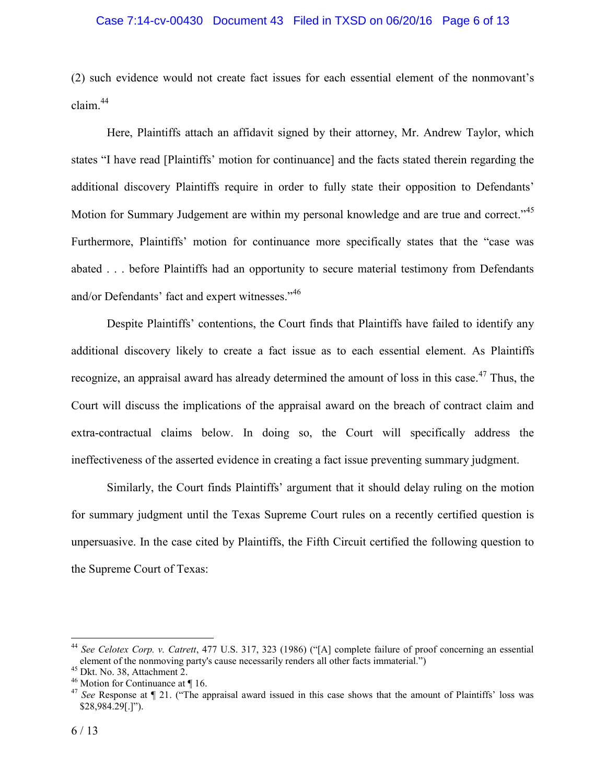## Case 7:14-cv-00430 Document 43 Filed in TXSD on 06/20/16 Page 6 of 13

(2) such evidence would not create fact issues for each essential element of the nonmovant's claim<sup>44</sup>

Here, Plaintiffs attach an affidavit signed by their attorney, Mr. Andrew Taylor, which states "I have read [Plaintiffs' motion for continuance] and the facts stated therein regarding the additional discovery Plaintiffs require in order to fully state their opposition to Defendants' Motion for Summary Judgement are within my personal knowledge and are true and correct."<sup>45</sup> Furthermore, Plaintiffs' motion for continuance more specifically states that the "case was abated . . . before Plaintiffs had an opportunity to secure material testimony from Defendants and/or Defendants' fact and expert witnesses."<sup>46</sup>

Despite Plaintiffs' contentions, the Court finds that Plaintiffs have failed to identify any additional discovery likely to create a fact issue as to each essential element. As Plaintiffs recognize, an appraisal award has already determined the amount of loss in this case.<sup>47</sup> Thus, the Court will discuss the implications of the appraisal award on the breach of contract claim and extra-contractual claims below. In doing so, the Court will specifically address the ineffectiveness of the asserted evidence in creating a fact issue preventing summary judgment.

Similarly, the Court finds Plaintiffs' argument that it should delay ruling on the motion for summary judgment until the Texas Supreme Court rules on a recently certified question is unpersuasive. In the case cited by Plaintiffs, the Fifth Circuit certified the following question to the Supreme Court of Texas:

<sup>44</sup> *See Celotex Corp. v. Catrett*, 477 U.S. 317, 323 (1986) ("[A] complete failure of proof concerning an essential element of the nonmoving party's cause necessarily renders all other facts immaterial.")

<sup>45</sup> Dkt. No. 38, Attachment 2.

 $46$  Motion for Continuance at  $\P$  16.

<sup>47</sup> *See* Response at ¶ 21. ("The appraisal award issued in this case shows that the amount of Plaintiffs' loss was \$28,984.29[.]").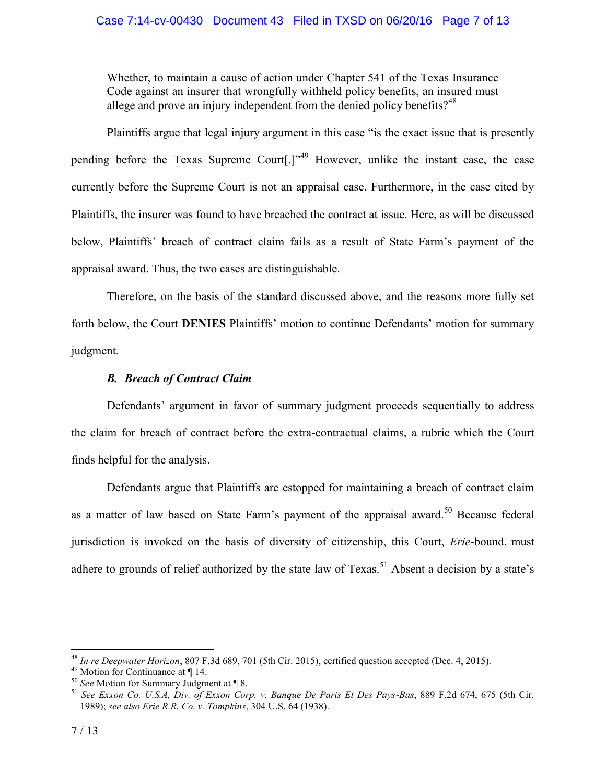# Case 7:14-cv-00430 Document 43 Filed in TXSD on 06/20/16 Page 7 of 13

Whether, to maintain a cause of action under Chapter 541 of the Texas Insurance Code against an insurer that wrongfully withheld policy benefits, an insured must allege and prove an injury independent from the denied policy benefits?<sup>48</sup>

Plaintiffs argue that legal injury argument in this case "is the exact issue that is presently pending before the Texas Supreme Court[.]"<sup>49</sup> However, unlike the instant case, the case currently before the Supreme Court is not an appraisal case. Furthermore, in the case cited by Plaintiffs, the insurer was found to have breached the contract at issue. Here, as will be discussed below, Plaintiffs' breach of contract claim fails as a result of State Farm's payment of the appraisal award. Thus, the two cases are distinguishable.

Therefore, on the basis of the standard discussed above, and the reasons more fully set forth below, the Court **DENIES** Plaintiffs' motion to continue Defendants' motion for summary judgment.

# *B. Breach of Contract Claim*

Defendants' argument in favor of summary judgment proceeds sequentially to address the claim for breach of contract before the extra-contractual claims, a rubric which the Court finds helpful for the analysis.

Defendants argue that Plaintiffs are estopped for maintaining a breach of contract claim as a matter of law based on State Farm's payment of the appraisal award.<sup>50</sup> Because federal jurisdiction is invoked on the basis of diversity of citizenship, this Court, *Erie*-bound, must adhere to grounds of relief authorized by the state law of  $T$ exas.<sup>51</sup> Absent a decision by a state's

<sup>48</sup> *In re Deepwater Horizon*, 807 F.3d 689, 701 (5th Cir. 2015), certified question accepted (Dec. 4, 2015).

<sup>49</sup> Motion for Continuance at ¶ 14.

<sup>50</sup> *See* Motion for Summary Judgment at ¶ 8.

<sup>51</sup> *See Exxon Co. U.S.A, Div. of Exxon Corp. v. Banque De Paris Et Des Pays-Bas*, 889 F.2d 674, 675 (5th Cir. 1989); *see also Erie R.R. Co. v. Tompkins*, 304 U.S. 64 (1938).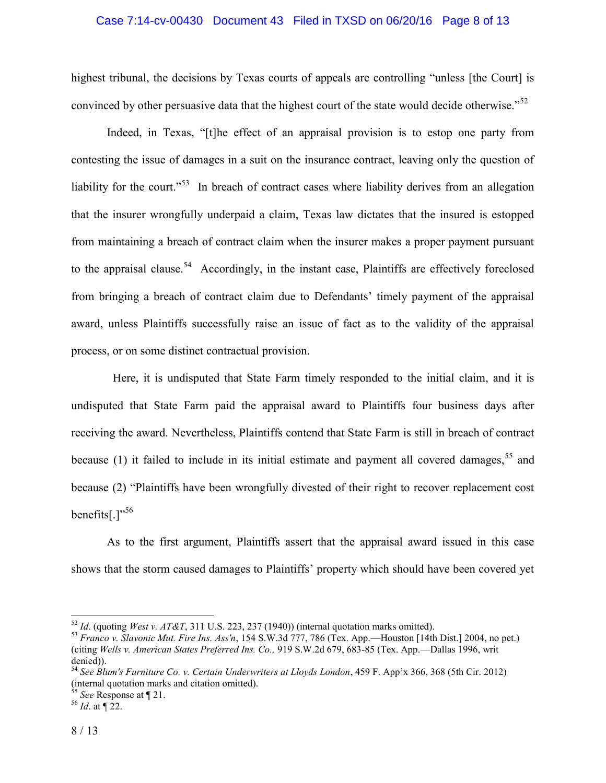## Case 7:14-cv-00430 Document 43 Filed in TXSD on 06/20/16 Page 8 of 13

highest tribunal, the decisions by Texas courts of appeals are controlling "unless [the Court] is convinced by other persuasive data that the highest court of the state would decide otherwise."<sup>52</sup>

Indeed, in Texas, "[t]he effect of an appraisal provision is to estop one party from contesting the issue of damages in a suit on the insurance contract, leaving only the question of liability for the court."<sup>53</sup> In breach of contract cases where liability derives from an allegation that the insurer wrongfully underpaid a claim, Texas law dictates that the insured is estopped from maintaining a breach of contract claim when the insurer makes a proper payment pursuant to the appraisal clause.<sup>54</sup> Accordingly, in the instant case, Plaintiffs are effectively foreclosed from bringing a breach of contract claim due to Defendants' timely payment of the appraisal award, unless Plaintiffs successfully raise an issue of fact as to the validity of the appraisal process, or on some distinct contractual provision.

 Here, it is undisputed that State Farm timely responded to the initial claim, and it is undisputed that State Farm paid the appraisal award to Plaintiffs four business days after receiving the award. Nevertheless, Plaintiffs contend that State Farm is still in breach of contract because (1) it failed to include in its initial estimate and payment all covered damages,  $55$  and because (2) "Plaintiffs have been wrongfully divested of their right to recover replacement cost benefits[ $.$ ]"<sup>56</sup>

As to the first argument, Plaintiffs assert that the appraisal award issued in this case shows that the storm caused damages to Plaintiffs' property which should have been covered yet

<sup>52</sup> *Id*. (quoting *West v. AT&T*, 311 U.S. 223, 237 (1940)) (internal quotation marks omitted).

<sup>53</sup> *Franco v. Slavonic Mut. Fire Ins. Ass'n*, 154 S.W.3d 777, 786 (Tex. App.—Houston [14th Dist.] 2004, no pet.) (citing *Wells v. American States Preferred Ins. Co.,* 919 S.W.2d 679, 683-85 (Tex. App.—Dallas 1996, writ denied)).

<sup>54</sup> *See Blum's Furniture Co. v. Certain Underwriters at Lloyds London*, 459 F. App'x 366, 368 (5th Cir. 2012) (internal quotation marks and citation omitted).

<sup>55</sup> *See* Response at ¶ 21.

<sup>56</sup> *Id*. at ¶ 22.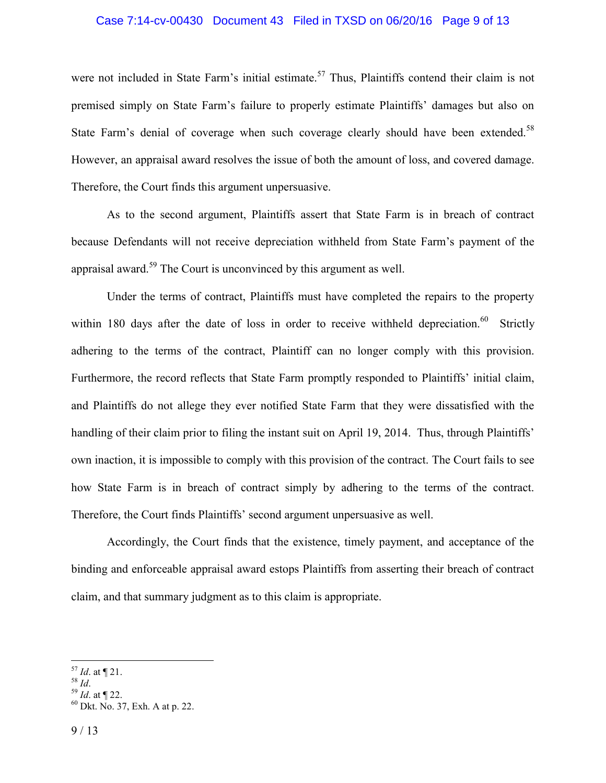#### Case 7:14-cv-00430 Document 43 Filed in TXSD on 06/20/16 Page 9 of 13

were not included in State Farm's initial estimate.<sup>57</sup> Thus, Plaintiffs contend their claim is not premised simply on State Farm's failure to properly estimate Plaintiffs' damages but also on State Farm's denial of coverage when such coverage clearly should have been extended.<sup>58</sup> However, an appraisal award resolves the issue of both the amount of loss, and covered damage. Therefore, the Court finds this argument unpersuasive.

As to the second argument, Plaintiffs assert that State Farm is in breach of contract because Defendants will not receive depreciation withheld from State Farm's payment of the appraisal award.<sup>59</sup> The Court is unconvinced by this argument as well.

Under the terms of contract, Plaintiffs must have completed the repairs to the property within 180 days after the date of loss in order to receive withheld depreciation.<sup>60</sup> Strictly adhering to the terms of the contract, Plaintiff can no longer comply with this provision. Furthermore, the record reflects that State Farm promptly responded to Plaintiffs' initial claim, and Plaintiffs do not allege they ever notified State Farm that they were dissatisfied with the handling of their claim prior to filing the instant suit on April 19, 2014. Thus, through Plaintiffs' own inaction, it is impossible to comply with this provision of the contract. The Court fails to see how State Farm is in breach of contract simply by adhering to the terms of the contract. Therefore, the Court finds Plaintiffs' second argument unpersuasive as well.

Accordingly, the Court finds that the existence, timely payment, and acceptance of the binding and enforceable appraisal award estops Plaintiffs from asserting their breach of contract claim, and that summary judgment as to this claim is appropriate.

<sup>57</sup> *Id*. at ¶ 21.

<sup>58</sup> *Id*.

<sup>59</sup> *Id*. at ¶ 22.

<sup>60</sup> Dkt. No. 37, Exh. A at p. 22.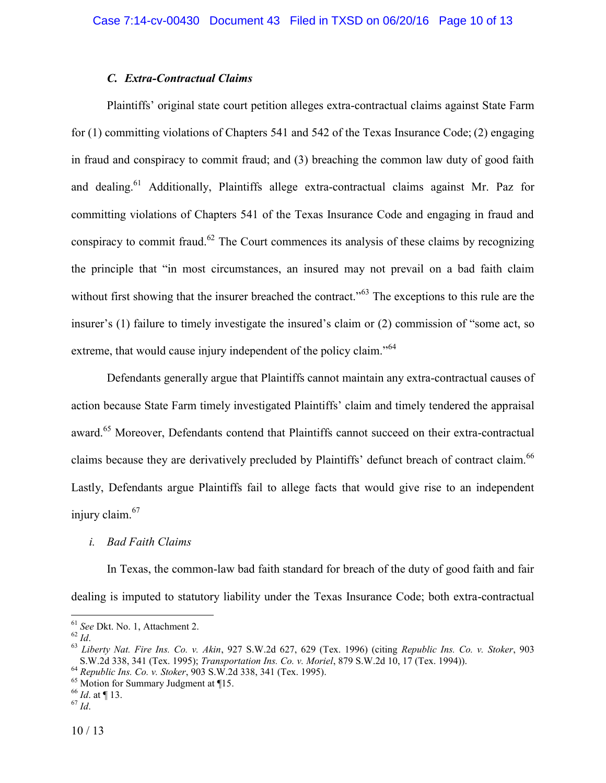# *C. Extra-Contractual Claims*

Plaintiffs' original state court petition alleges extra-contractual claims against State Farm for (1) committing violations of Chapters 541 and 542 of the Texas Insurance Code; (2) engaging in fraud and conspiracy to commit fraud; and (3) breaching the common law duty of good faith and dealing.<sup>61</sup> Additionally, Plaintiffs allege extra-contractual claims against Mr. Paz for committing violations of Chapters 541 of the Texas Insurance Code and engaging in fraud and conspiracy to commit fraud.<sup>62</sup> The Court commences its analysis of these claims by recognizing the principle that "in most circumstances, an insured may not prevail on a bad faith claim without first showing that the insurer breached the contract."<sup>63</sup> The exceptions to this rule are the insurer's (1) failure to timely investigate the insured's claim or (2) commission of "some act, so extreme, that would cause injury independent of the policy claim."<sup>64</sup>

Defendants generally argue that Plaintiffs cannot maintain any extra-contractual causes of action because State Farm timely investigated Plaintiffs' claim and timely tendered the appraisal award.<sup>65</sup> Moreover, Defendants contend that Plaintiffs cannot succeed on their extra-contractual claims because they are derivatively precluded by Plaintiffs' defunct breach of contract claim.<sup>66</sup> Lastly, Defendants argue Plaintiffs fail to allege facts that would give rise to an independent injury claim.<sup>67</sup>

#### *i. Bad Faith Claims*

In Texas, the common-law bad faith standard for breach of the duty of good faith and fair dealing is imputed to statutory liability under the Texas Insurance Code; both extra-contractual

<sup>61</sup> *See* Dkt. No. 1, Attachment 2.

 $62\overline{Id}$ 

<sup>63</sup> *Liberty Nat. Fire Ins. Co. v. Akin*, 927 S.W.2d 627, 629 (Tex. 1996) (citing *Republic Ins. Co. v. Stoker*, 903 S.W.2d 338, 341 (Tex. 1995); *Transportation Ins. Co. v. Moriel*, 879 S.W.2d 10, 17 (Tex. 1994)).

<sup>64</sup> *Republic Ins. Co. v. Stoker*, 903 S.W.2d 338, 341 (Tex. 1995).

<sup>&</sup>lt;sup>65</sup> Motion for Summary Judgment at ¶15.

<sup>66</sup> *Id*. at ¶ 13.

<sup>67</sup> *Id*.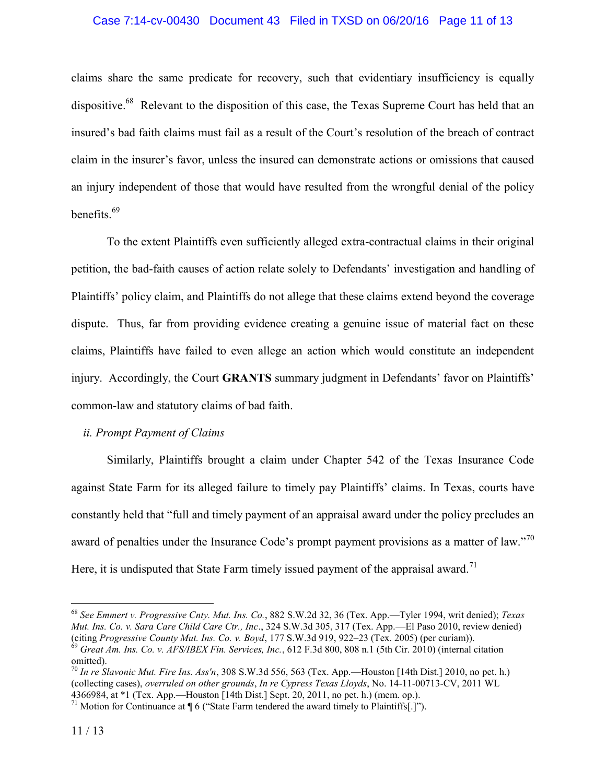## Case 7:14-cv-00430 Document 43 Filed in TXSD on 06/20/16 Page 11 of 13

claims share the same predicate for recovery, such that evidentiary insufficiency is equally dispositive.<sup>68</sup> Relevant to the disposition of this case, the Texas Supreme Court has held that an insured's bad faith claims must fail as a result of the Court's resolution of the breach of contract claim in the insurer's favor, unless the insured can demonstrate actions or omissions that caused an injury independent of those that would have resulted from the wrongful denial of the policy benefits.<sup>69</sup>

To the extent Plaintiffs even sufficiently alleged extra-contractual claims in their original petition, the bad-faith causes of action relate solely to Defendants' investigation and handling of Plaintiffs' policy claim, and Plaintiffs do not allege that these claims extend beyond the coverage dispute. Thus, far from providing evidence creating a genuine issue of material fact on these claims, Plaintiffs have failed to even allege an action which would constitute an independent injury. Accordingly, the Court **GRANTS** summary judgment in Defendants' favor on Plaintiffs' common-law and statutory claims of bad faith.

# *ii. Prompt Payment of Claims*

Similarly, Plaintiffs brought a claim under Chapter 542 of the Texas Insurance Code against State Farm for its alleged failure to timely pay Plaintiffs' claims. In Texas, courts have constantly held that "full and timely payment of an appraisal award under the policy precludes an award of penalties under the Insurance Code's prompt payment provisions as a matter of law."<sup>70</sup> Here, it is undisputed that State Farm timely issued payment of the appraisal award.<sup>71</sup>

<sup>68</sup> *See Emmert v. Progressive Cnty. Mut. Ins. Co.*, 882 S.W.2d 32, 36 (Tex. App.—Tyler 1994, writ denied); *Texas Mut. Ins. Co. v. Sara Care Child Care Ctr., Inc*., 324 S.W.3d 305, 317 (Tex. App.—El Paso 2010, review denied) (citing *Progressive County Mut. Ins. Co. v. Boyd*, 177 S.W.3d 919, 922–23 (Tex. 2005) (per curiam)). <sup>69</sup> *Great Am. Ins. Co. v. AFS/IBEX Fin. Services, Inc.*, 612 F.3d 800, 808 n.1 (5th Cir. 2010) (internal citation omitted).

<sup>70</sup> *In re Slavonic Mut. Fire Ins. Ass'n*, 308 S.W.3d 556, 563 (Tex. App.—Houston [14th Dist.] 2010, no pet. h.) (collecting cases), *overruled on other grounds*, *In re Cypress Texas Lloyds*, No. 14-11-00713-CV, 2011 WL 4366984, at \*1 (Tex. App.—Houston [14th Dist.] Sept. 20, 2011, no pet. h.) (mem. op.).

<sup>&</sup>lt;sup>71</sup> Motion for Continuance at  $\P$  6 ("State Farm tendered the award timely to Plaintiffs[.]").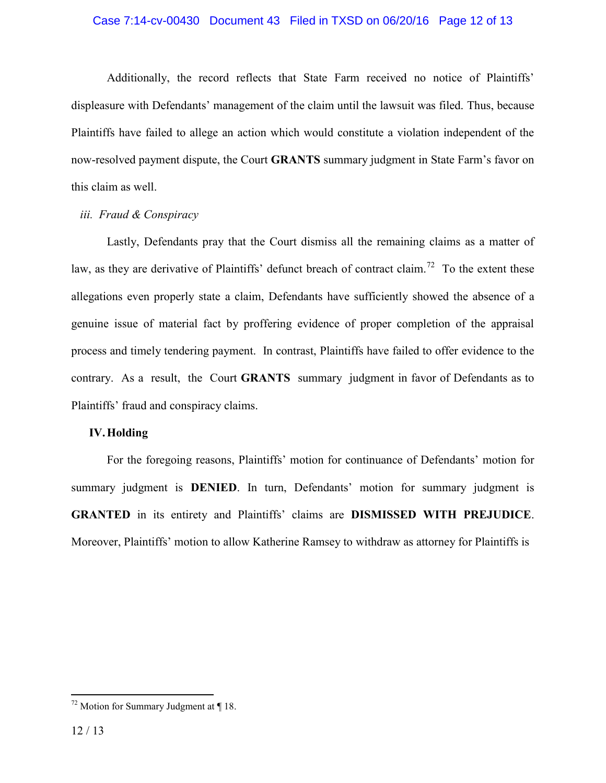## Case 7:14-cv-00430 Document 43 Filed in TXSD on 06/20/16 Page 12 of 13

Additionally, the record reflects that State Farm received no notice of Plaintiffs' displeasure with Defendants' management of the claim until the lawsuit was filed. Thus, because Plaintiffs have failed to allege an action which would constitute a violation independent of the now-resolved payment dispute, the Court **GRANTS** summary judgment in State Farm's favor on this claim as well.

## *iii. Fraud & Conspiracy*

Lastly, Defendants pray that the Court dismiss all the remaining claims as a matter of law, as they are derivative of Plaintiffs' defunct breach of contract claim.<sup>72</sup> To the extent these allegations even properly state a claim, Defendants have sufficiently showed the absence of a genuine issue of material fact by proffering evidence of proper completion of the appraisal process and timely tendering payment. In contrast, Plaintiffs have failed to offer evidence to the contrary. As a result, the Court **GRANTS** summary judgment in favor of Defendants as to Plaintiffs' fraud and conspiracy claims.

## **IV.Holding**

For the foregoing reasons, Plaintiffs' motion for continuance of Defendants' motion for summary judgment is **DENIED**. In turn, Defendants' motion for summary judgment is **GRANTED** in its entirety and Plaintiffs' claims are **DISMISSED WITH PREJUDICE**. Moreover, Plaintiffs' motion to allow Katherine Ramsey to withdraw as attorney for Plaintiffs is

 $72$  Motion for Summary Judgment at ¶ 18.